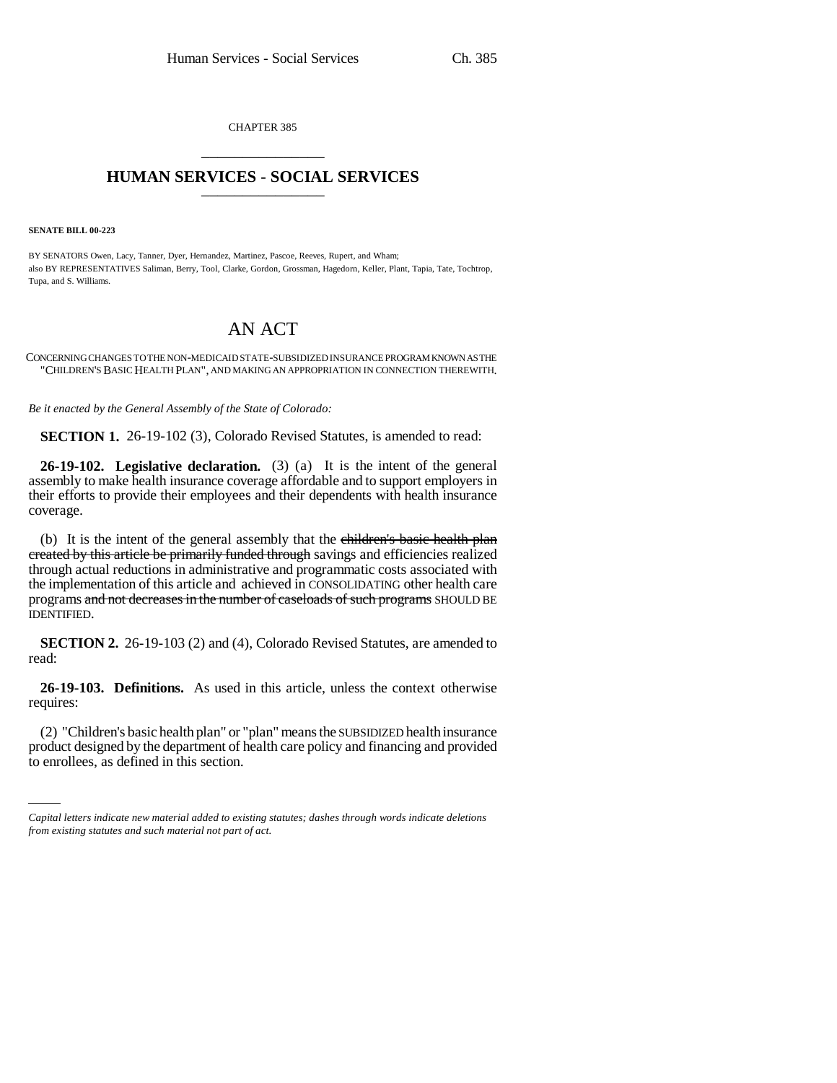CHAPTER 385 \_\_\_\_\_\_\_\_\_\_\_\_\_\_\_

## **HUMAN SERVICES - SOCIAL SERVICES** \_\_\_\_\_\_\_\_\_\_\_\_\_\_\_

**SENATE BILL 00-223** 

BY SENATORS Owen, Lacy, Tanner, Dyer, Hernandez, Martinez, Pascoe, Reeves, Rupert, and Wham; also BY REPRESENTATIVES Saliman, Berry, Tool, Clarke, Gordon, Grossman, Hagedorn, Keller, Plant, Tapia, Tate, Tochtrop, Tupa, and S. Williams.

## AN ACT

CONCERNING CHANGES TO THE NON-MEDICAID STATE-SUBSIDIZED INSURANCE PROGRAM KNOWN AS THE "CHILDREN'S BASIC HEALTH PLAN", AND MAKING AN APPROPRIATION IN CONNECTION THEREWITH.

*Be it enacted by the General Assembly of the State of Colorado:*

**SECTION 1.** 26-19-102 (3), Colorado Revised Statutes, is amended to read:

**26-19-102. Legislative declaration.** (3) (a) It is the intent of the general assembly to make health insurance coverage affordable and to support employers in their efforts to provide their employees and their dependents with health insurance coverage.

(b) It is the intent of the general assembly that the children's basic health plan created by this article be primarily funded through savings and efficiencies realized through actual reductions in administrative and programmatic costs associated with the implementation of this article and achieved in CONSOLIDATING other health care programs and not decreases in the number of caseloads of such programs SHOULD BE IDENTIFIED.

**SECTION 2.** 26-19-103 (2) and (4), Colorado Revised Statutes, are amended to read:

**26-19-103. Definitions.** As used in this article, unless the context otherwise requires:

 $(2)$  Christen's basic health plant of plant means the subsidiary health instruction product designed by the department of health care policy and financing and provided (2) "Children's basic health plan" or "plan" means the SUBSIDIZED health insurance to enrollees, as defined in this section.

*Capital letters indicate new material added to existing statutes; dashes through words indicate deletions from existing statutes and such material not part of act.*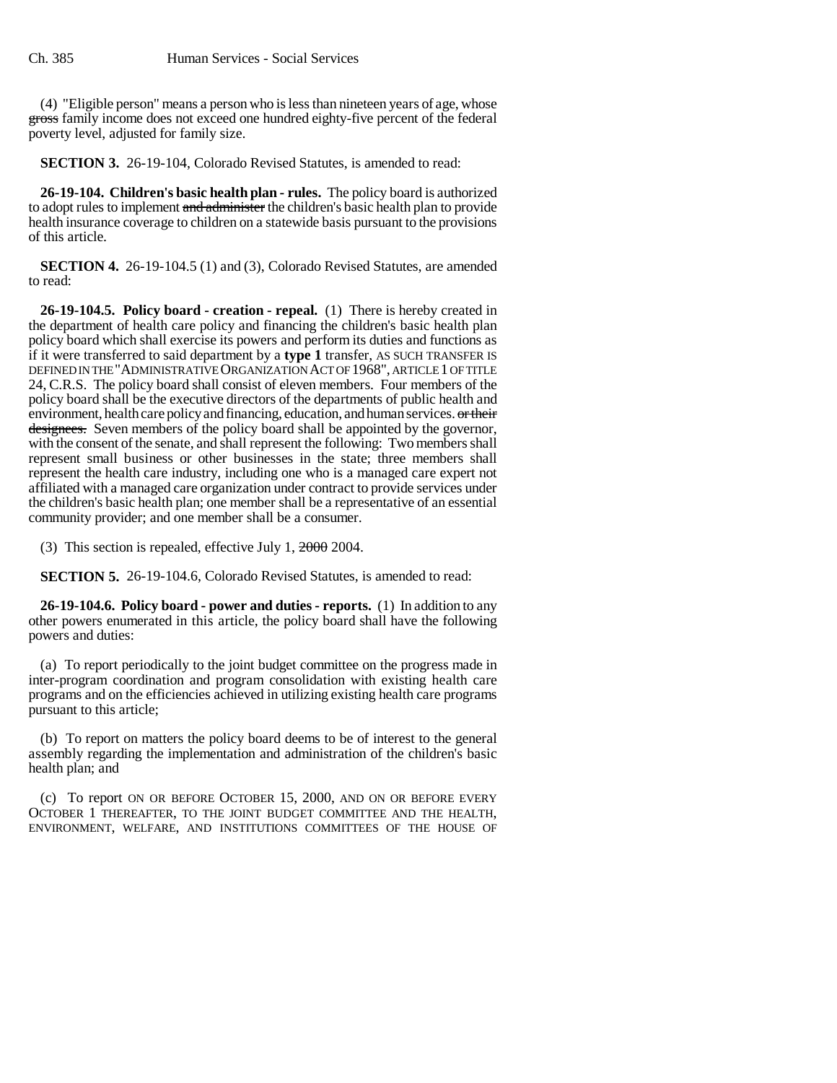(4) "Eligible person" means a person who is less than nineteen years of age, whose gross family income does not exceed one hundred eighty-five percent of the federal poverty level, adjusted for family size.

**SECTION 3.** 26-19-104, Colorado Revised Statutes, is amended to read:

**26-19-104. Children's basic health plan - rules.** The policy board is authorized to adopt rules to implement and administer the children's basic health plan to provide health insurance coverage to children on a statewide basis pursuant to the provisions of this article.

**SECTION 4.** 26-19-104.5 (1) and (3), Colorado Revised Statutes, are amended to read:

**26-19-104.5. Policy board - creation - repeal.** (1) There is hereby created in the department of health care policy and financing the children's basic health plan policy board which shall exercise its powers and perform its duties and functions as if it were transferred to said department by a **type 1** transfer, AS SUCH TRANSFER IS DEFINED IN THE "ADMINISTRATIVE ORGANIZATION ACT OF 1968", ARTICLE 1 OF TITLE 24, C.R.S. The policy board shall consist of eleven members. Four members of the policy board shall be the executive directors of the departments of public health and environment, health care policy and financing, education, and human services. or their designees. Seven members of the policy board shall be appointed by the governor, with the consent of the senate, and shall represent the following: Two members shall represent small business or other businesses in the state; three members shall represent the health care industry, including one who is a managed care expert not affiliated with a managed care organization under contract to provide services under the children's basic health plan; one member shall be a representative of an essential community provider; and one member shall be a consumer.

(3) This section is repealed, effective July 1, 2000 2004.

**SECTION 5.** 26-19-104.6, Colorado Revised Statutes, is amended to read:

**26-19-104.6. Policy board - power and duties - reports.** (1) In addition to any other powers enumerated in this article, the policy board shall have the following powers and duties:

(a) To report periodically to the joint budget committee on the progress made in inter-program coordination and program consolidation with existing health care programs and on the efficiencies achieved in utilizing existing health care programs pursuant to this article;

(b) To report on matters the policy board deems to be of interest to the general assembly regarding the implementation and administration of the children's basic health plan; and

(c) To report ON OR BEFORE OCTOBER 15, 2000, AND ON OR BEFORE EVERY OCTOBER 1 THEREAFTER, TO THE JOINT BUDGET COMMITTEE AND THE HEALTH, ENVIRONMENT, WELFARE, AND INSTITUTIONS COMMITTEES OF THE HOUSE OF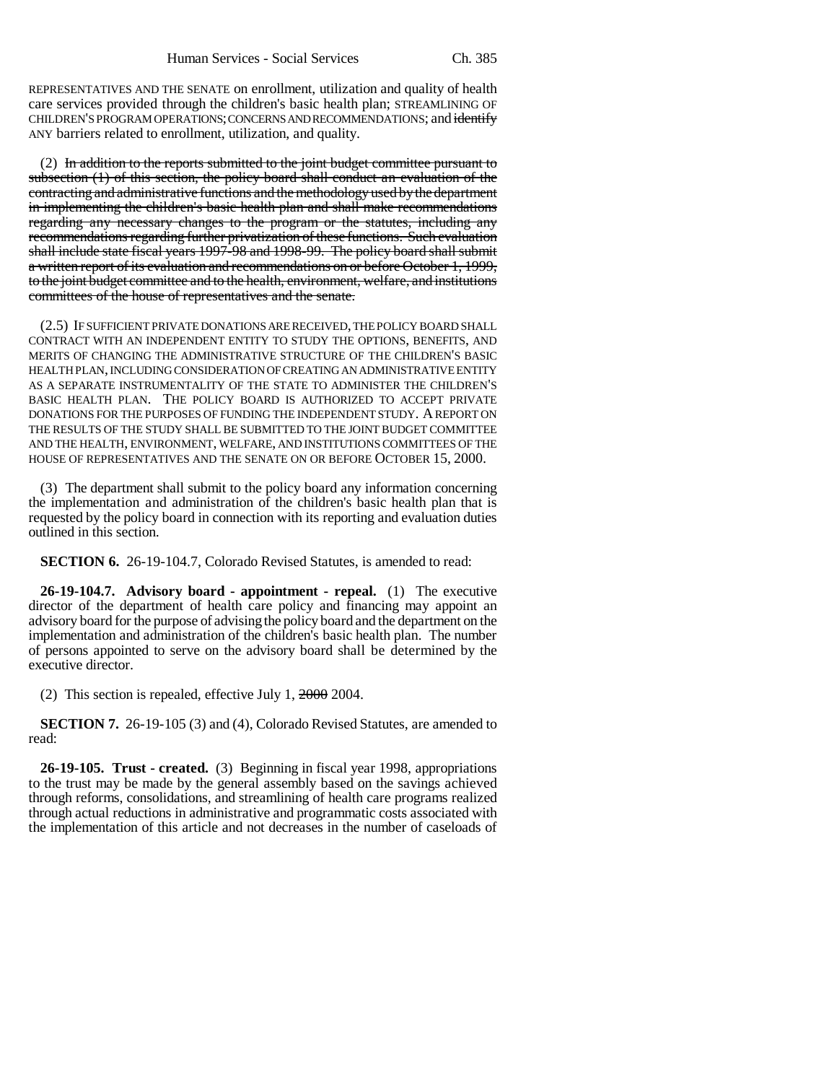REPRESENTATIVES AND THE SENATE on enrollment, utilization and quality of health care services provided through the children's basic health plan; STREAMLINING OF CHILDREN'S PROGRAM OPERATIONS; CONCERNS AND RECOMMENDATIONS; and identify ANY barriers related to enrollment, utilization, and quality.

(2) In addition to the reports submitted to the joint budget committee pursuant to subsection (1) of this section, the policy board shall conduct an evaluation of the contracting and administrative functions and the methodology used by the department in implementing the children's basic health plan and shall make recommendations regarding any necessary changes to the program or the statutes, including any recommendations regarding further privatization of these functions. Such evaluation shall include state fiscal years 1997-98 and 1998-99. The policy board shall submit a written report of its evaluation and recommendations on or before October 1, 1999, to the joint budget committee and to the health, environment, welfare, and institutions committees of the house of representatives and the senate.

(2.5) IF SUFFICIENT PRIVATE DONATIONS ARE RECEIVED, THE POLICY BOARD SHALL CONTRACT WITH AN INDEPENDENT ENTITY TO STUDY THE OPTIONS, BENEFITS, AND MERITS OF CHANGING THE ADMINISTRATIVE STRUCTURE OF THE CHILDREN'S BASIC HEALTH PLAN, INCLUDING CONSIDERATION OF CREATING AN ADMINISTRATIVE ENTITY AS A SEPARATE INSTRUMENTALITY OF THE STATE TO ADMINISTER THE CHILDREN'S BASIC HEALTH PLAN. THE POLICY BOARD IS AUTHORIZED TO ACCEPT PRIVATE DONATIONS FOR THE PURPOSES OF FUNDING THE INDEPENDENT STUDY. A REPORT ON THE RESULTS OF THE STUDY SHALL BE SUBMITTED TO THE JOINT BUDGET COMMITTEE AND THE HEALTH, ENVIRONMENT, WELFARE, AND INSTITUTIONS COMMITTEES OF THE HOUSE OF REPRESENTATIVES AND THE SENATE ON OR BEFORE OCTOBER 15, 2000.

(3) The department shall submit to the policy board any information concerning the implementation and administration of the children's basic health plan that is requested by the policy board in connection with its reporting and evaluation duties outlined in this section.

**SECTION 6.** 26-19-104.7, Colorado Revised Statutes, is amended to read:

**26-19-104.7. Advisory board - appointment - repeal.** (1) The executive director of the department of health care policy and financing may appoint an advisory board for the purpose of advising the policy board and the department on the implementation and administration of the children's basic health plan. The number of persons appointed to serve on the advisory board shall be determined by the executive director.

(2) This section is repealed, effective July 1, 2000 2004.

**SECTION 7.** 26-19-105 (3) and (4), Colorado Revised Statutes, are amended to read:

**26-19-105. Trust - created.** (3) Beginning in fiscal year 1998, appropriations to the trust may be made by the general assembly based on the savings achieved through reforms, consolidations, and streamlining of health care programs realized through actual reductions in administrative and programmatic costs associated with the implementation of this article and not decreases in the number of caseloads of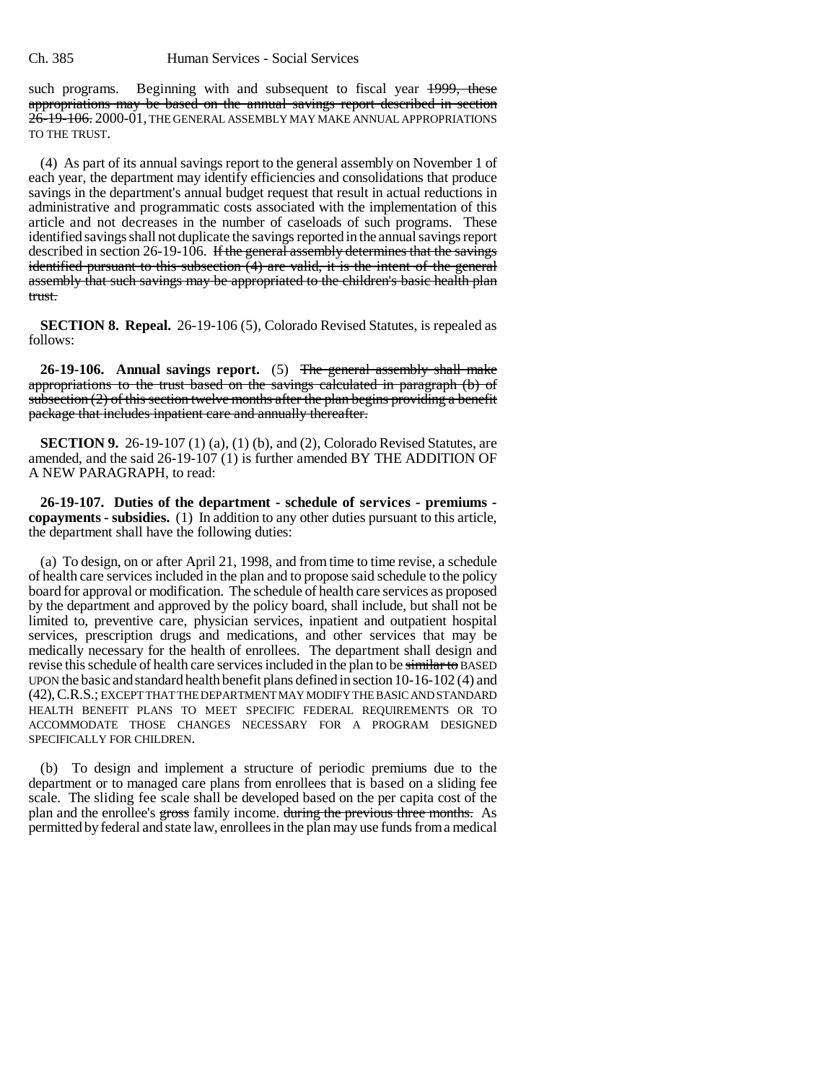such programs. Beginning with and subsequent to fiscal year 1999, these appropriations may be based on the annual savings report described in section 26-19-106. 2000-01, THE GENERAL ASSEMBLY MAY MAKE ANNUAL APPROPRIATIONS TO THE TRUST.

(4) As part of its annual savings report to the general assembly on November 1 of each year, the department may identify efficiencies and consolidations that produce savings in the department's annual budget request that result in actual reductions in administrative and programmatic costs associated with the implementation of this article and not decreases in the number of caseloads of such programs. These identified savings shall not duplicate the savings reported in the annual savings report described in section 26-19-106. If the general assembly determines that the savings identified pursuant to this subsection (4) are valid, it is the intent of the general assembly that such savings may be appropriated to the children's basic health plan trust.

**SECTION 8. Repeal.** 26-19-106 (5), Colorado Revised Statutes, is repealed as follows:

**26-19-106. Annual savings report.** (5) The general assembly shall make appropriations to the trust based on the savings calculated in paragraph (b) of subsection  $(2)$  of this section twelve months after the plan begins providing a benefit package that includes inpatient care and annually thereafter.

**SECTION 9.** 26-19-107 (1) (a), (1) (b), and (2), Colorado Revised Statutes, are amended, and the said 26-19-107 (1) is further amended BY THE ADDITION OF A NEW PARAGRAPH, to read:

**26-19-107. Duties of the department - schedule of services - premiums copayments - subsidies.** (1) In addition to any other duties pursuant to this article, the department shall have the following duties:

(a) To design, on or after April 21, 1998, and from time to time revise, a schedule of health care services included in the plan and to propose said schedule to the policy board for approval or modification. The schedule of health care services as proposed by the department and approved by the policy board, shall include, but shall not be limited to, preventive care, physician services, inpatient and outpatient hospital services, prescription drugs and medications, and other services that may be medically necessary for the health of enrollees. The department shall design and revise this schedule of health care services included in the plan to be similar to BASED UPON the basic and standard health benefit plans defined in section 10-16-102 (4) and (42), C.R.S.; EXCEPT THAT THE DEPARTMENT MAY MODIFY THE BASIC AND STANDARD HEALTH BENEFIT PLANS TO MEET SPECIFIC FEDERAL REQUIREMENTS OR TO ACCOMMODATE THOSE CHANGES NECESSARY FOR A PROGRAM DESIGNED SPECIFICALLY FOR CHILDREN.

(b) To design and implement a structure of periodic premiums due to the department or to managed care plans from enrollees that is based on a sliding fee scale. The sliding fee scale shall be developed based on the per capita cost of the plan and the enrollee's gross family income. during the previous three months. As permitted by federal and state law, enrollees in the plan may use funds from a medical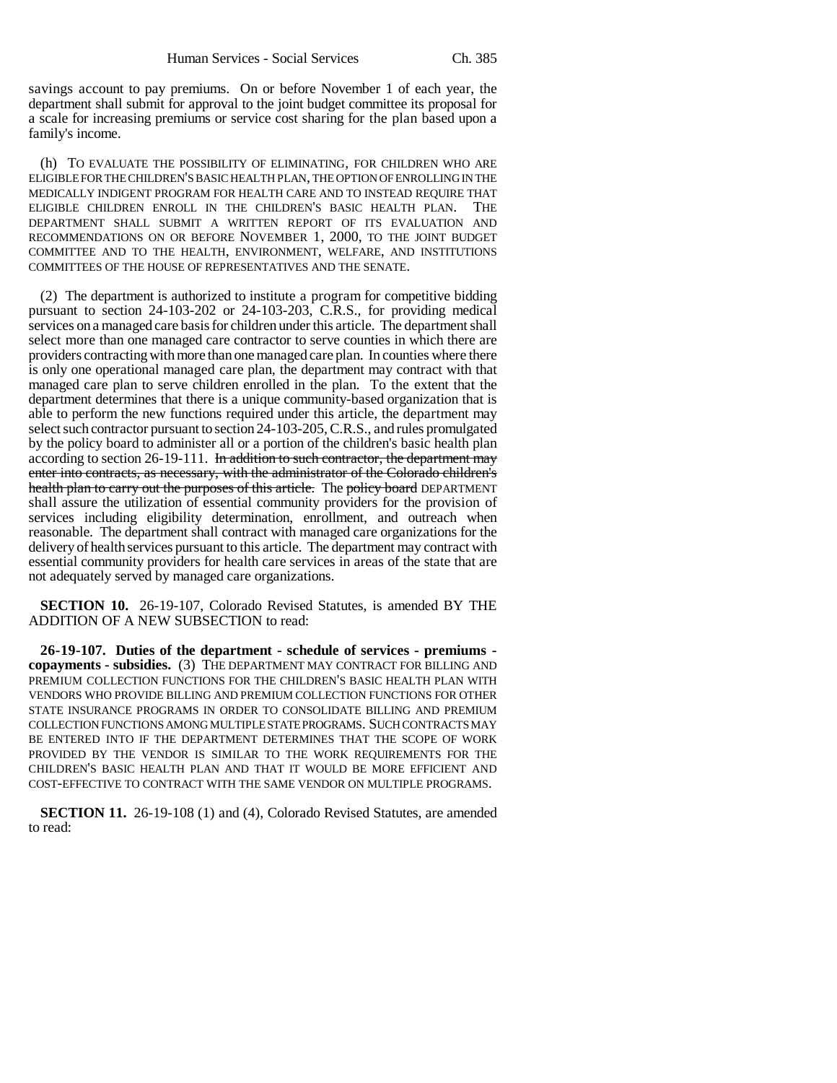savings account to pay premiums. On or before November 1 of each year, the department shall submit for approval to the joint budget committee its proposal for a scale for increasing premiums or service cost sharing for the plan based upon a family's income.

(h) TO EVALUATE THE POSSIBILITY OF ELIMINATING, FOR CHILDREN WHO ARE ELIGIBLE FOR THE CHILDREN'S BASIC HEALTH PLAN, THE OPTION OF ENROLLING IN THE MEDICALLY INDIGENT PROGRAM FOR HEALTH CARE AND TO INSTEAD REQUIRE THAT ELIGIBLE CHILDREN ENROLL IN THE CHILDREN'S BASIC HEALTH PLAN. THE DEPARTMENT SHALL SUBMIT A WRITTEN REPORT OF ITS EVALUATION AND RECOMMENDATIONS ON OR BEFORE NOVEMBER 1, 2000, TO THE JOINT BUDGET COMMITTEE AND TO THE HEALTH, ENVIRONMENT, WELFARE, AND INSTITUTIONS COMMITTEES OF THE HOUSE OF REPRESENTATIVES AND THE SENATE.

(2) The department is authorized to institute a program for competitive bidding pursuant to section 24-103-202 or 24-103-203, C.R.S., for providing medical services on a managed care basis for children under this article. The department shall select more than one managed care contractor to serve counties in which there are providers contracting with more than one managed care plan. In counties where there is only one operational managed care plan, the department may contract with that managed care plan to serve children enrolled in the plan. To the extent that the department determines that there is a unique community-based organization that is able to perform the new functions required under this article, the department may select such contractor pursuant to section 24-103-205, C.R.S., and rules promulgated by the policy board to administer all or a portion of the children's basic health plan according to section 26-19-111. In addition to such contractor, the department may enter into contracts, as necessary, with the administrator of the Colorado children's health plan to carry out the purposes of this article. The policy board DEPARTMENT shall assure the utilization of essential community providers for the provision of services including eligibility determination, enrollment, and outreach when reasonable. The department shall contract with managed care organizations for the delivery of health services pursuant to this article. The department may contract with essential community providers for health care services in areas of the state that are not adequately served by managed care organizations.

**SECTION 10.** 26-19-107, Colorado Revised Statutes, is amended BY THE ADDITION OF A NEW SUBSECTION to read:

**26-19-107. Duties of the department - schedule of services - premiums copayments - subsidies.** (3) THE DEPARTMENT MAY CONTRACT FOR BILLING AND PREMIUM COLLECTION FUNCTIONS FOR THE CHILDREN'S BASIC HEALTH PLAN WITH VENDORS WHO PROVIDE BILLING AND PREMIUM COLLECTION FUNCTIONS FOR OTHER STATE INSURANCE PROGRAMS IN ORDER TO CONSOLIDATE BILLING AND PREMIUM COLLECTION FUNCTIONS AMONG MULTIPLE STATE PROGRAMS. SUCH CONTRACTS MAY BE ENTERED INTO IF THE DEPARTMENT DETERMINES THAT THE SCOPE OF WORK PROVIDED BY THE VENDOR IS SIMILAR TO THE WORK REQUIREMENTS FOR THE CHILDREN'S BASIC HEALTH PLAN AND THAT IT WOULD BE MORE EFFICIENT AND COST-EFFECTIVE TO CONTRACT WITH THE SAME VENDOR ON MULTIPLE PROGRAMS.

**SECTION 11.** 26-19-108 (1) and (4), Colorado Revised Statutes, are amended to read: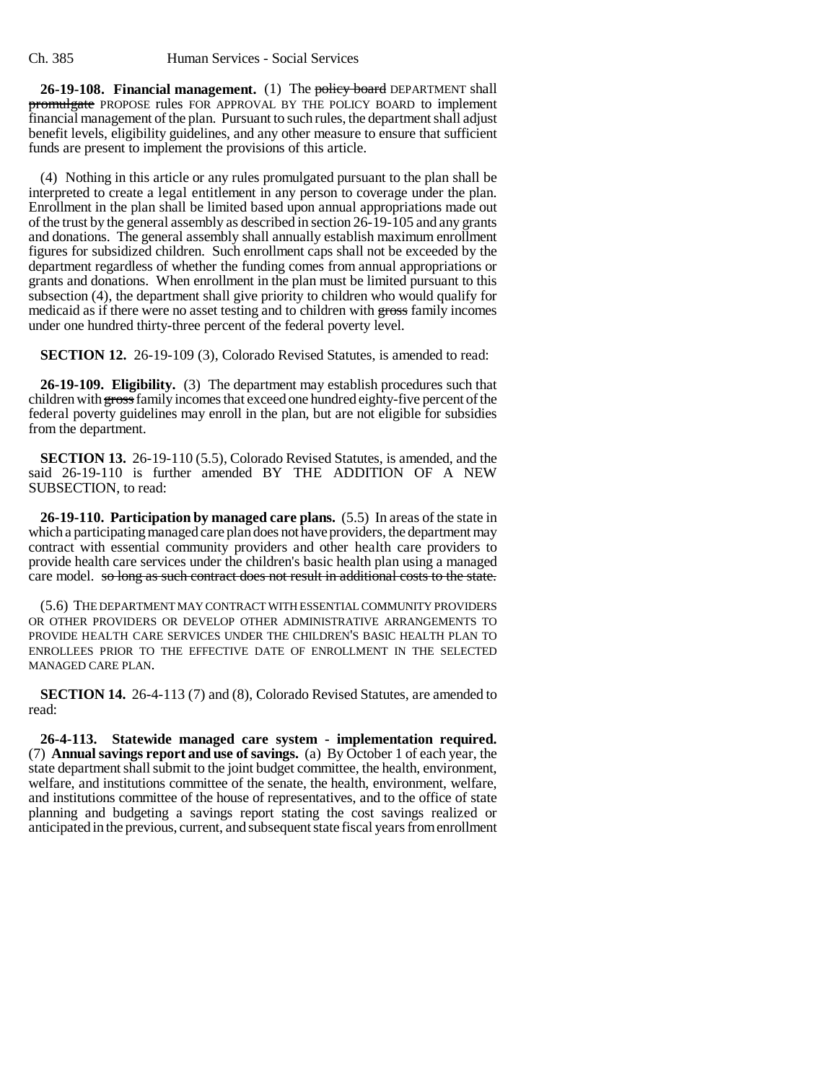**26-19-108. Financial management.** (1) The policy board DEPARTMENT shall promulgate PROPOSE rules FOR APPROVAL BY THE POLICY BOARD to implement financial management of the plan. Pursuant to such rules, the department shall adjust benefit levels, eligibility guidelines, and any other measure to ensure that sufficient funds are present to implement the provisions of this article.

(4) Nothing in this article or any rules promulgated pursuant to the plan shall be interpreted to create a legal entitlement in any person to coverage under the plan. Enrollment in the plan shall be limited based upon annual appropriations made out of the trust by the general assembly as described in section 26-19-105 and any grants and donations. The general assembly shall annually establish maximum enrollment figures for subsidized children. Such enrollment caps shall not be exceeded by the department regardless of whether the funding comes from annual appropriations or grants and donations. When enrollment in the plan must be limited pursuant to this subsection (4), the department shall give priority to children who would qualify for medicaid as if there were no asset testing and to children with gross family incomes under one hundred thirty-three percent of the federal poverty level.

**SECTION 12.** 26-19-109 (3), Colorado Revised Statutes, is amended to read:

**26-19-109. Eligibility.** (3) The department may establish procedures such that children with gross family incomes that exceed one hundred eighty-five percent of the federal poverty guidelines may enroll in the plan, but are not eligible for subsidies from the department.

**SECTION 13.** 26-19-110 (5.5), Colorado Revised Statutes, is amended, and the said 26-19-110 is further amended BY THE ADDITION OF A NEW SUBSECTION, to read:

**26-19-110. Participation by managed care plans.** (5.5) In areas of the state in which a participating managed care plan does not have providers, the department may contract with essential community providers and other health care providers to provide health care services under the children's basic health plan using a managed care model. so long as such contract does not result in additional costs to the state.

(5.6) THE DEPARTMENT MAY CONTRACT WITH ESSENTIAL COMMUNITY PROVIDERS OR OTHER PROVIDERS OR DEVELOP OTHER ADMINISTRATIVE ARRANGEMENTS TO PROVIDE HEALTH CARE SERVICES UNDER THE CHILDREN'S BASIC HEALTH PLAN TO ENROLLEES PRIOR TO THE EFFECTIVE DATE OF ENROLLMENT IN THE SELECTED MANAGED CARE PLAN.

**SECTION 14.** 26-4-113 (7) and (8), Colorado Revised Statutes, are amended to read:

**26-4-113. Statewide managed care system - implementation required.** (7) **Annual savings report and use of savings.** (a) By October 1 of each year, the state department shall submit to the joint budget committee, the health, environment, welfare, and institutions committee of the senate, the health, environment, welfare, and institutions committee of the house of representatives, and to the office of state planning and budgeting a savings report stating the cost savings realized or anticipated in the previous, current, and subsequent state fiscal years from enrollment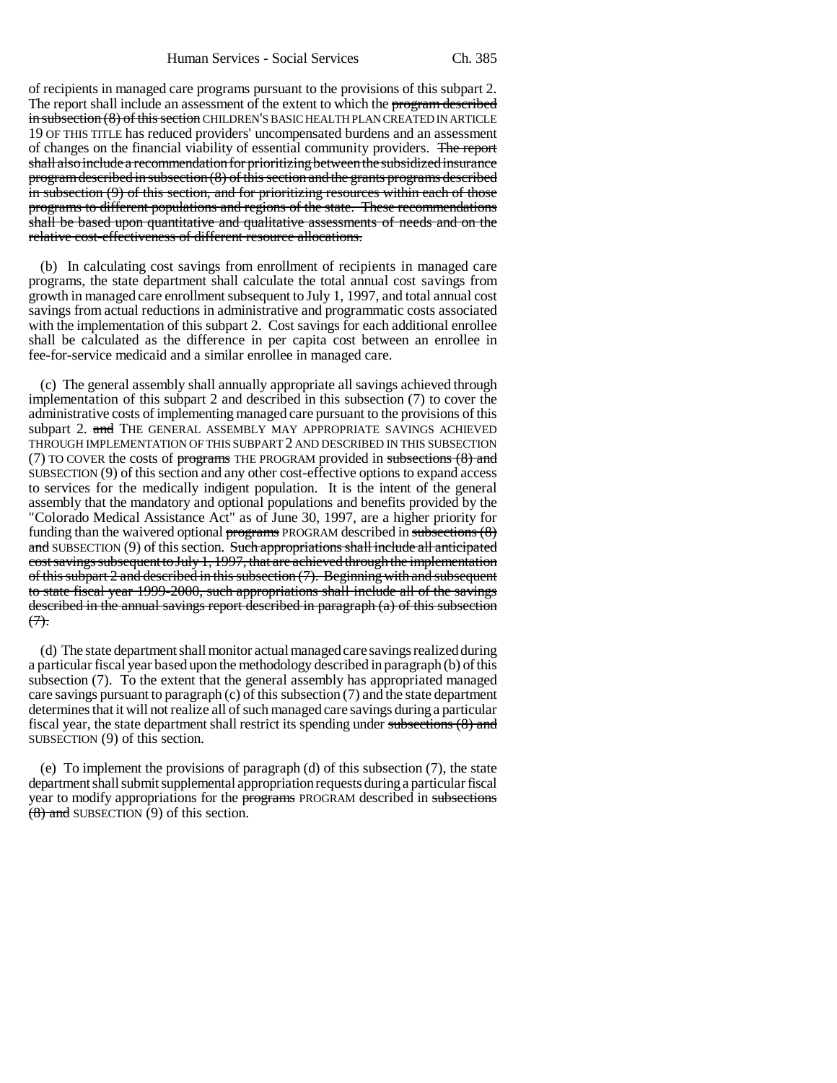of recipients in managed care programs pursuant to the provisions of this subpart 2. The report shall include an assessment of the extent to which the program described in subsection (8) of this section CHILDREN'S BASIC HEALTH PLAN CREATED IN ARTICLE 19 OF THIS TITLE has reduced providers' uncompensated burdens and an assessment of changes on the financial viability of essential community providers. The report shall also include a recommendation for prioritizing between the subsidized insurance program described in subsection (8) of this section and the grants programs described in subsection (9) of this section, and for prioritizing resources within each of those programs to different populations and regions of the state. These recommendations shall be based upon quantitative and qualitative assessments of needs and on the relative cost-effectiveness of different resource allocations.

(b) In calculating cost savings from enrollment of recipients in managed care programs, the state department shall calculate the total annual cost savings from growth in managed care enrollment subsequent to July 1, 1997, and total annual cost savings from actual reductions in administrative and programmatic costs associated with the implementation of this subpart 2. Cost savings for each additional enrollee shall be calculated as the difference in per capita cost between an enrollee in fee-for-service medicaid and a similar enrollee in managed care.

(c) The general assembly shall annually appropriate all savings achieved through implementation of this subpart 2 and described in this subsection (7) to cover the administrative costs of implementing managed care pursuant to the provisions of this subpart 2. and THE GENERAL ASSEMBLY MAY APPROPRIATE SAVINGS ACHIEVED THROUGH IMPLEMENTATION OF THIS SUBPART 2 AND DESCRIBED IN THIS SUBSECTION (7) TO COVER the costs of programs THE PROGRAM provided in subsections  $(8)$  and SUBSECTION (9) of this section and any other cost-effective options to expand access to services for the medically indigent population. It is the intent of the general assembly that the mandatory and optional populations and benefits provided by the "Colorado Medical Assistance Act" as of June 30, 1997, are a higher priority for funding than the waivered optional programs PROGRAM described in subsections (8) and SUBSECTION (9) of this section. Such appropriations shall include all anticipated cost savings subsequent to July 1, 1997, that are achieved through the implementation of this subpart 2 and described in this subsection (7). Beginning with and subsequent to state fiscal year 1999-2000, such appropriations shall include all of the savings described in the annual savings report described in paragraph (a) of this subsection  $(7)$ .

(d) The state department shall monitor actual managed care savings realized during a particular fiscal year based upon the methodology described in paragraph (b) of this subsection (7). To the extent that the general assembly has appropriated managed care savings pursuant to paragraph (c) of this subsection (7) and the state department determines that it will not realize all of such managed care savings during a particular fiscal year, the state department shall restrict its spending under subsections (8) and SUBSECTION (9) of this section.

(e) To implement the provisions of paragraph (d) of this subsection (7), the state department shall submit supplemental appropriation requests during a particular fiscal year to modify appropriations for the programs PROGRAM described in subsections (8) and SUBSECTION (9) of this section.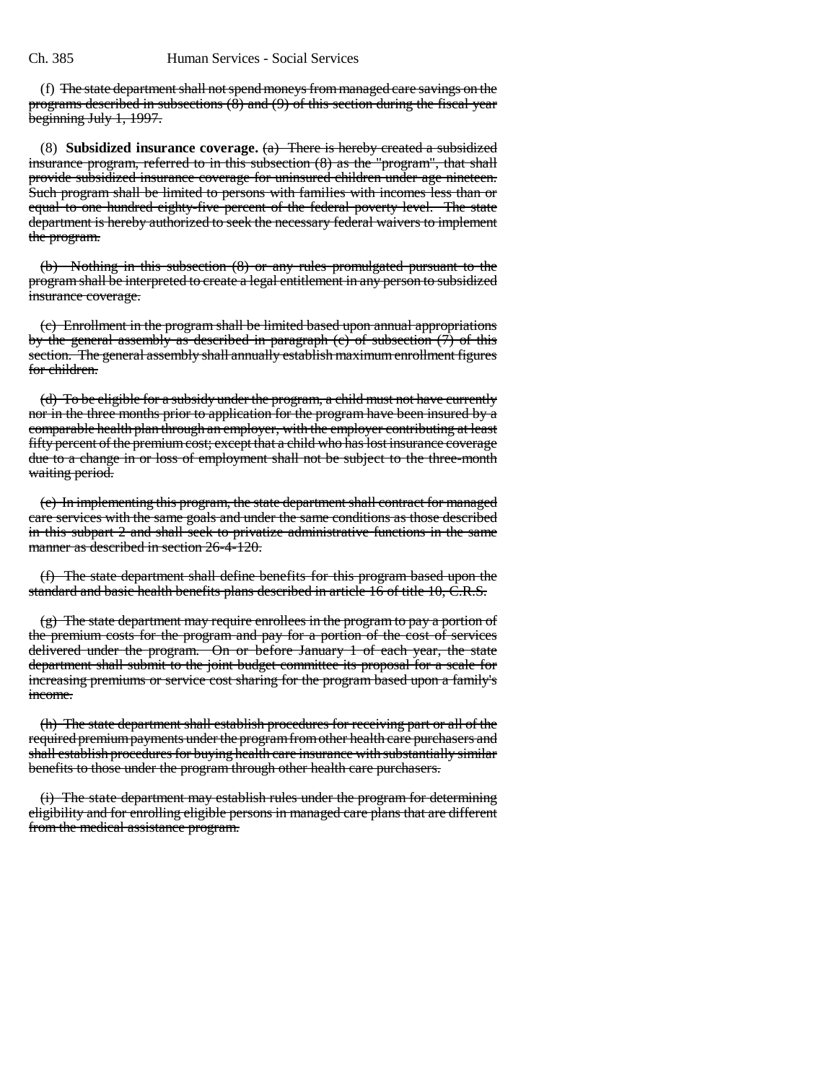(f) The state department shall not spend moneys from managed care savings on the programs described in subsections (8) and (9) of this section during the fiscal year beginning July 1, 1997.

(8) **Subsidized insurance coverage.** (a) There is hereby created a subsidized insurance program, referred to in this subsection (8) as the "program", that shall provide subsidized insurance coverage for uninsured children under age nineteen. Such program shall be limited to persons with families with incomes less than or equal to one hundred eighty-five percent of the federal poverty level. The state department is hereby authorized to seek the necessary federal waivers to implement the program.

(b) Nothing in this subsection (8) or any rules promulgated pursuant to the program shall be interpreted to create a legal entitlement in any person to subsidized insurance coverage.

(c) Enrollment in the program shall be limited based upon annual appropriations by the general assembly as described in paragraph (c) of subsection (7) of this section. The general assembly shall annually establish maximum enrollment figures for children.

(d) To be eligible for a subsidy under the program, a child must not have currently nor in the three months prior to application for the program have been insured by a comparable health plan through an employer, with the employer contributing at least fifty percent of the premium cost; except that a child who has lost insurance coverage due to a change in or loss of employment shall not be subject to the three-month waiting period.

(e) In implementing this program, the state department shall contract for managed care services with the same goals and under the same conditions as those described in this subpart 2 and shall seek to privatize administrative functions in the same manner as described in section 26-4-120.

(f) The state department shall define benefits for this program based upon the standard and basic health benefits plans described in article 16 of title 10, C.R.S.

(g) The state department may require enrollees in the program to pay a portion of the premium costs for the program and pay for a portion of the cost of services delivered under the program. On or before January 1 of each year, the state department shall submit to the joint budget committee its proposal for a scale for increasing premiums or service cost sharing for the program based upon a family's income.

(h) The state department shall establish procedures for receiving part or all of the required premium payments under the program from other health care purchasers and shall establish procedures for buying health care insurance with substantially similar benefits to those under the program through other health care purchasers.

(i) The state department may establish rules under the program for determining eligibility and for enrolling eligible persons in managed care plans that are different from the medical assistance program.